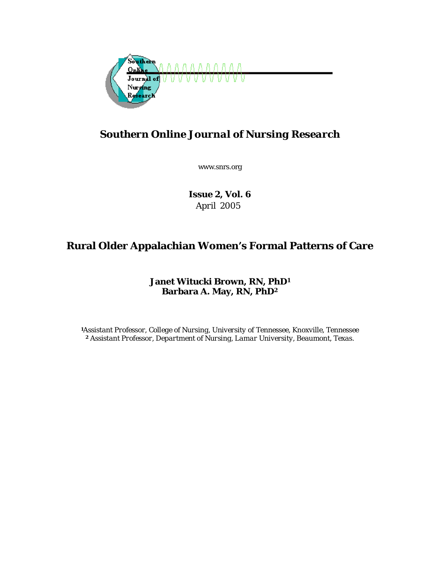

# *Southern Online Journal of Nursing Research*

www.snrs.org

*Issue 2, Vol. 6 April 2005* 

# **Rural Older Appalachian Women's Formal Patterns of Care**

**Janet Witucki Brown, RN, PhD1 Barbara A. May, RN, PhD2**

*<sup>1</sup>Assistant Professor, College of Nursing, University of Tennessee, Knoxville, Tennessee 2 Assistant Professor, Department of Nursing, Lamar University, Beaumont, Texas.*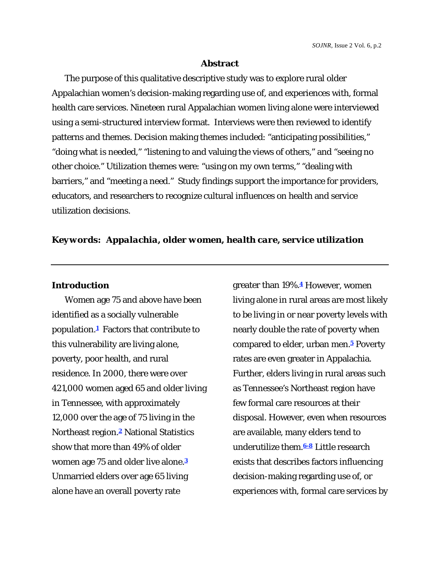## **Abstract**

The purpose of this qualitative descriptive study was to explore rural older Appalachian women's decision-making regarding use of, and experiences with, formal health care services. Nineteen rural Appalachian women living alone were interviewed using a semi-structured interview format. Interviews were then reviewed to identify patterns and themes. Decision making themes included: "anticipating possibilities," "doing what is needed," "listening to and valuing the views of others," and "seeing no other choice." Utilization themes were: "using on my own terms," "dealing with barriers," and "meeting a need." Study findings support the importance for providers, educators, and researchers to recognize cultural influences on health and service utilization decisions.

## *Keywords: Appalachia, older women, health care, service utilization*

## **Introduction**

Women age 75 and above have been identified as a socially vulnerable population.**1** Factors that contribute to this vulnerability are living alone, poverty, poor health, and rural residence. In 2000, there were over 421,000 women aged 65 and older living in Tennessee, with approximately 12,000 over the age of 75 living in the Northeast region.**2** National Statistics show that more than 49% of older women age 75 and older live alone.**<sup>3</sup>** Unmarried elders over age 65 living alone have an overall poverty rate

greater than 19%.**4** However, women living alone in rural areas are most likely to be living in or near poverty levels with nearly double the rate of poverty when compared to elder, urban men.**5** Poverty rates are even greater in Appalachia. Further, elders living in rural areas such as Tennessee's Northeast region have few formal care resources at their disposal. However, even when resources are available, many elders tend to underutilize them.**6-8** Little research exists that describes factors influencing decision-making regarding use of, or experiences with, formal care services by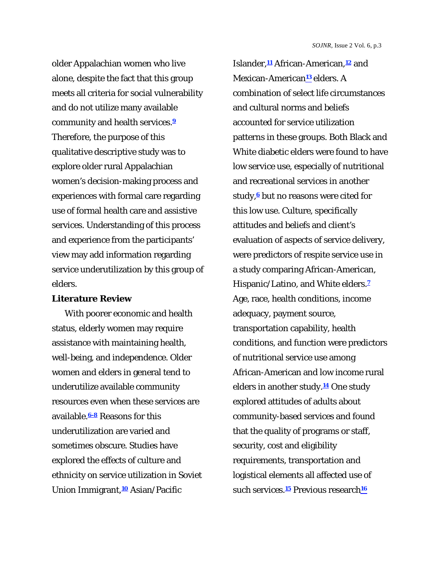older Appalachian women who live alone, despite the fact that this group meets all criteria for social vulnerability and do not utilize many available community and health services.**<sup>9</sup>** Therefore, the purpose of this qualitative descriptive study was to explore older rural Appalachian women's decision-making process and experiences with formal care regarding use of formal health care and assistive services. Understanding of this process and experience from the participants' view may add information regarding service underutilization by this group of elders.

### **Literature Review**

With poorer economic and health status, elderly women may require assistance with maintaining health, well-being, and independence. Older women and elders in general tend to underutilize available community resources even when these services are available.**6-8** Reasons for this underutilization are varied and sometimes obscure. Studies have explored the effects of culture and ethnicity on service utilization in Soviet Union Immigrant,**10** Asian/Pacific

Islander,**11** African-American,**12** and Mexican-American**13** elders. A combination of select life circumstances and cultural norms and beliefs accounted for service utilization patterns in these groups. Both Black and White diabetic elders were found to have low service use, especially of nutritional and recreational services in another study,**6** but no reasons were cited for this low use. Culture, specifically attitudes and beliefs and client's evaluation of aspects of service delivery, were predictors of respite service use in a study comparing African-American, Hispanic/Latino, and White elders.**<sup>7</sup>** Age, race, health conditions, income adequacy, payment source, transportation capability, health conditions, and function were predictors of nutritional service use among African-American and low income rural elders in another study.**14** One study explored attitudes of adults about community-based services and found that the quality of programs or staff, security, cost and eligibility requirements, transportation and logistical elements all affected use of such services.**15** Previous research**16**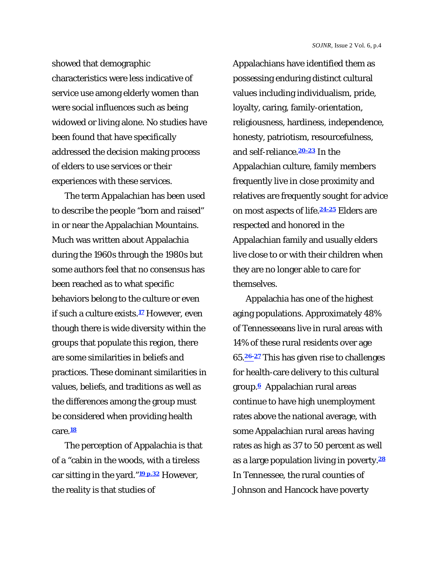showed that demographic characteristics were less indicative of service use among elderly women than were social influences such as being widowed or living alone. No studies have been found that have specifically addressed the decision making process of elders to use services or their experiences with these services.

The term Appalachian has been used to describe the people "born and raised" in or near the Appalachian Mountains. Much was written about Appalachia during the 1960s through the 1980s but some authors feel that no consensus has been reached as to what specific behaviors belong to the culture or even if such a culture exists.**17** However, even though there is wide diversity within the groups that populate this region, there are some similarities in beliefs and practices. These dominant similarities in values, beliefs, and traditions as well as the differences among the group must be considered when providing health care.**<sup>18</sup>**

The perception of Appalachia is that of a "cabin in the woods, with a tireless car sitting in the yard."**19 p.32** However, the reality is that studies of

Appalachians have identified them as possessing enduring distinct cultural values including individualism, pride, loyalty, caring, family-orientation, religiousness, hardiness, independence, honesty, patriotism, resourcefulness, and self-reliance.**20-23** In the Appalachian culture, family members frequently live in close proximity and relatives are frequently sought for advice on most aspects of life.**24-25** Elders are respected and honored in the Appalachian family and usually elders live close to or with their children when they are no longer able to care for themselves.

Appalachia has one of the highest aging populations. Approximately 48% of Tennesseeans live in rural areas with 14% of these rural residents over age 65.**26-27** This has given rise to challenges for health-care delivery to this cultural group.**6** Appalachian rural areas continue to have high unemployment rates above the national average, with some Appalachian rural areas having rates as high as 37 to 50 percent as well as a large population living in poverty.**<sup>28</sup>** In Tennessee, the rural counties of Johnson and Hancock have poverty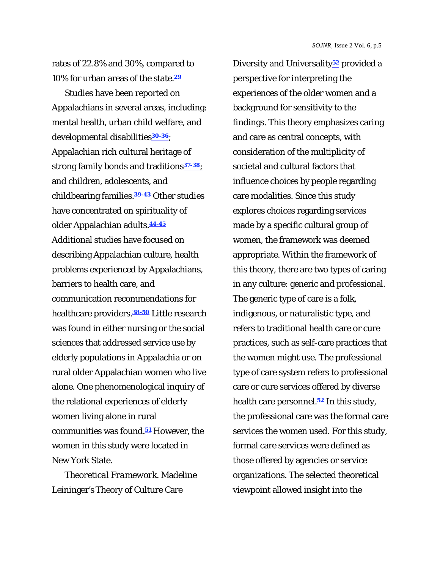rates of 22.8% and 30%, compared to 10% for urban areas of the state.**<sup>29</sup>**

Studies have been reported on Appalachians in several areas, including: mental health, urban child welfare, and developmental disabilities**30-36**; Appalachian rich cultural heritage of strong family bonds and traditions**37-38**; and children, adolescents, and childbearing families.**39-43** Other studies have concentrated on spirituality of older Appalachian adults.**44-45** Additional studies have focused on describing Appalachian culture, health problems experienced by Appalachians, barriers to health care, and communication recommendations for healthcare providers.**38-50** Little research was found in either nursing or the social sciences that addressed service use by elderly populations in Appalachia or on rural older Appalachian women who live alone. One phenomenological inquiry of the relational experiences of elderly women living alone in rural communities was found.**51** However, the women in this study were located in New York State.

*Theoretical Framework.* Madeline Leininger's Theory of Culture Care

Diversity and Universality**52** provided a perspective for interpreting the experiences of the older women and a background for sensitivity to the findings. This theory emphasizes caring and care as central concepts, with consideration of the multiplicity of societal and cultural factors that influence choices by people regarding care modalities. Since this study explores choices regarding services made by a specific cultural group of women, the framework was deemed appropriate. Within the framework of this theory, there are two types of caring in any culture: generic and professional. The generic type of care is a folk, indigenous, or naturalistic type, and refers to traditional health care or cure practices, such as self-care practices that the women might use. The professional type of care system refers to professional care or cure services offered by diverse health care personnel.**52** In this study, the professional care was the formal care services the women used.For this study, formal care services were defined as those offered by agencies or service organizations. The selected theoretical viewpoint allowed insight into the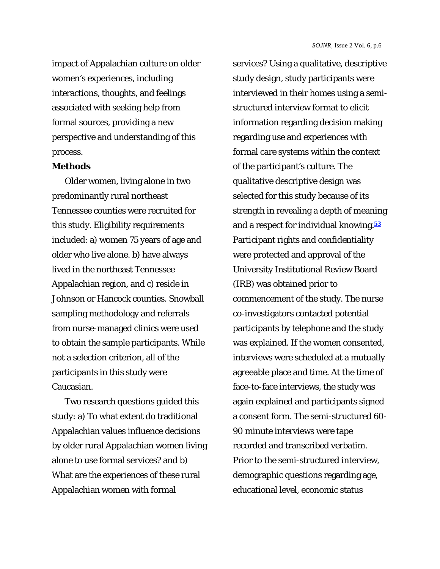impact of Appalachian culture on older women's experiences, including interactions, thoughts, and feelings associated with seeking help from formal sources, providing a new perspective and understanding of this process.

#### **Methods**

Older women, living alone in two predominantly rural northeast Tennessee counties were recruited for this study. Eligibility requirements included: a) women 75 years of age and older who live alone. b) have always lived in the northeast Tennessee Appalachian region, and c) reside in Johnson or Hancock counties. Snowball sampling methodology and referrals from nurse-managed clinics were used to obtain the sample participants. While not a selection criterion, all of the participants in this study were Caucasian.

Two research questions guided this study: a) To what extent do traditional Appalachian values influence decisions by older rural Appalachian women living alone to use formal services? and b) What are the experiences of these rural Appalachian women with formal

services? Using a qualitative, descriptive study design, study participants were interviewed in their homes using a semistructured interview format to elicit information regarding decision making regarding use and experiences with formal care systems within the context of the participant's culture. The qualitative descriptive design was selected for this study because of its strength in revealing a depth of meaning and a respect for individual knowing.**<sup>53</sup>** Participant rights and confidentiality were protected and approval of the University Institutional Review Board (IRB) was obtained prior to commencement of the study. The nurse co-investigators contacted potential participants by telephone and the study was explained. If the women consented, interviews were scheduled at a mutually agreeable place and time. At the time of face-to-face interviews, the study was again explained and participants signed a consent form. The semi-structured 60- 90 minute interviews were tape recorded and transcribed verbatim. Prior to the semi-structured interview, demographic questions regarding age, educational level, economic status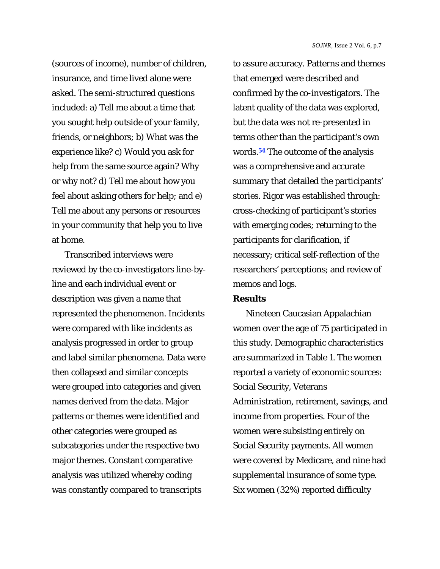(sources of income), number of children, insurance, and time lived alone were asked. The semi-structured questions included: a) Tell me about a time that you sought help outside of your family, friends, or neighbors; b) What was the experience like? c) Would you ask for help from the same source again? Why or why not? d) Tell me about how you feel about asking others for help; and e) Tell me about any persons or resources in your community that help you to live at home.

Transcribed interviews were reviewed by the co-investigators line-byline and each individual event or description was given a name that represented the phenomenon. Incidents were compared with like incidents as analysis progressed in order to group and label similar phenomena. Data were then collapsed and similar concepts were grouped into categories and given names derived from the data. Major patterns or themes were identified and other categories were grouped as subcategories under the respective two major themes. Constant comparative analysis was utilized whereby coding was constantly compared to transcripts

to assure accuracy. Patterns and themes that emerged were described and confirmed by the co-investigators. The latent quality of the data was explored, but the data was not re-presented in terms other than the participant's own words.**54** The outcome of the analysis was a comprehensive and accurate summary that detailed the participants' stories. Rigor was established through: cross-checking of participant's stories with emerging codes; returning to the participants for clarification, if necessary; critical self-reflection of the researchers' perceptions; and review of memos and logs.

#### **Results**

Nineteen Caucasian Appalachian women over the age of 75 participated in this study. Demographic characteristics are summarized in Table 1. The women reported a variety of economic sources: Social Security, Veterans Administration, retirement, savings, and income from properties. Four of the women were subsisting entirely on Social Security payments. All women were covered by Medicare, and nine had supplemental insurance of some type. Six women (32%) reported difficulty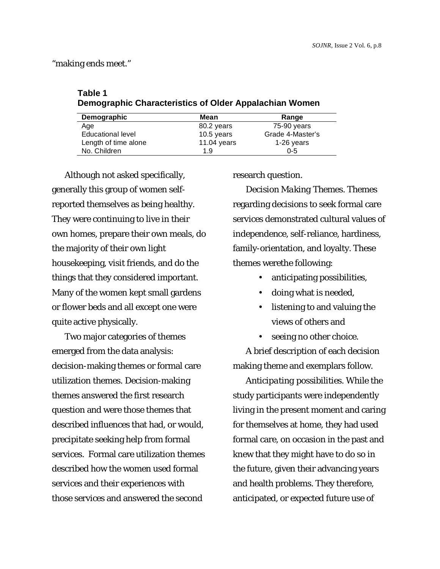"making ends meet."

# **Table 1 Demographic Characteristics of Older Appalachian Women**

| Demographic          | Mean        | Range            |
|----------------------|-------------|------------------|
| Age                  | 80.2 years  | 75-90 years      |
| Educational level    | 10.5 years  | Grade 4-Master's |
| Length of time alone | 11.04 years | 1-26 years       |
| No. Children         | 1.9         | $0 - 5$          |

Although not asked specifically, generally this group of women selfreported themselves as being healthy. They were continuing to live in their own homes, prepare their own meals, do the majority of their own light housekeeping, visit friends, and do the things that they considered important. Many of the women kept small gardens or flower beds and all except one were quite active physically.

Two major categories of themes emerged from the data analysis: decision-making themes or formal care utilization themes. Decision-making themes answered the first research question and were those themes that described influences that had, or would, precipitate seeking help from formal services. Formal care utilization themes described how the women used formal services and their experiences with those services and answered the second

research question.

*Decision Making Themes.* Themes regarding decisions to seek formal care services demonstrated cultural values of independence, self-reliance, hardiness, family-orientation, and loyalty. These themes werethe following:

- anticipating possibilities,
- doing what is needed,
- listening to and valuing the views of others and
- seeing no other choice.

A brief description of each decision making theme and exemplars follow.

*Anticipating possibilities.* While the study participants were independently living in the present moment and caring for themselves at home, they had used formal care, on occasion in the past and knew that they might have to do so in the future, given their advancing years and health problems. They therefore, anticipated, or expected future use of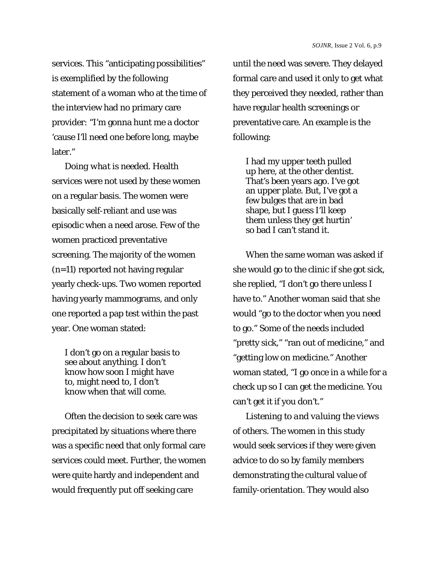services. This "anticipating possibilities" is exemplified by the following statement of a woman who at the time of the interview had no primary care provider: "I'm gonna hunt me a doctor 'cause I'll need one before long, maybe later."

*Doing what is needed*. Health services were not used by these women on a regular basis. The women were basically self-reliant and use was episodic when a need arose. Few of the women practiced preventative screening. The majority of the women (*n*=11) reported not having regular yearly check-ups. Two women reported having yearly mammograms, and only one reported a pap test within the past year. One woman stated:

I don't go on a regular basis to see about anything. I don't know how soon I might have to, might need to, I don't know when that will come.

Often the decision to seek care was precipitated by situations where there was a specific need that only formal care services could meet. Further, the women were quite hardy and independent and would frequently put off seeking care

until the need was severe. They delayed formal care and used it only to get what they perceived they needed, rather than have regular health screenings or preventative care. An example is the following:

I had my upper teeth pulled up here, at the other dentist. That's been years ago. I've got an upper plate. But, I've got a few bulges that are in bad shape, but I guess I'll keep them unless they get hurtin' so bad I can't stand it.

When the same woman was asked if she would go to the clinic if she got sick, she replied, "I don't go there unless I have to." Another woman said that she would "go to the doctor when you need to go." Some of the needs included "pretty sick," "ran out of medicine," and "getting low on medicine." Another woman stated, "I go once in a while for a check up so I can get the medicine. You can't get it if you don't."

*Listening to and valuing the views of others.* The women in this study would seek services if they were given advice to do so by family members demonstrating the cultural value of family-orientation. They would also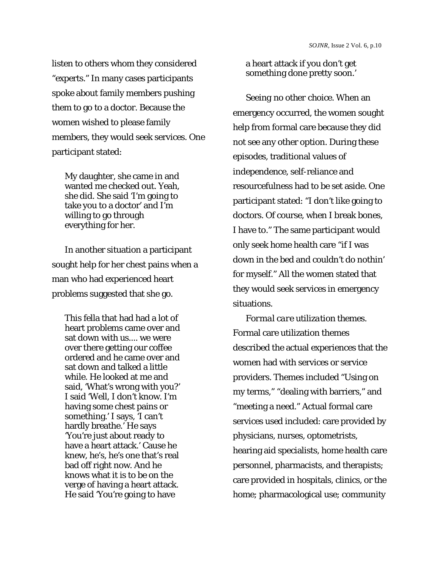listen to others whom they considered "experts." In many cases participants spoke about family members pushing them to go to a doctor. Because the women wished to please family members, they would seek services. One participant stated:

My daughter, she came in and wanted me checked out. Yeah, she did. She said 'I'm going to take you to a doctor' and I'm willing to go through everything for her.

In another situation a participant sought help for her chest pains when a man who had experienced heart problems suggested that she go.

This fella that had had a lot of heart problems came over and sat down with us.... we were over there getting our coffee ordered and he came over and sat down and talked a little while. He looked at me and said, 'What's wrong with you?' I said 'Well, I don't know. I'm having some chest pains or something.' I says, 'I can't hardly breathe.' He says 'You're just about ready to have a heart attack.' Cause he knew, he's, he's one that's real bad off right now. And he knows what it is to be on the verge of having a heart attack. He said 'You're going to have

a heart attack if you don't get something done pretty soon.'

*Seeing no other choice.* When an emergency occurred, the women sought help from formal care because they did not see any other option. During these episodes, traditional values of independence, self-reliance and resourcefulness had to be set aside. One participant stated: "I don't like going to doctors. Of course, when I break bones, I have to." The same participant would only seek home health care "if I was down in the bed and couldn't do nothin' for myself." All the women stated that they would seek services in emergency situations.

*Formal care utilization themes.*  Formal care utilization themes described the actual experiences that the women had with services or service providers. Themes included "Using on my terms," "dealing with barriers," and "meeting a need." Actual formal care services used included: care provided by physicians, nurses, optometrists, hearing aid specialists, home health care personnel, pharmacists, and therapists; care provided in hospitals, clinics, or the home; pharmacological use; community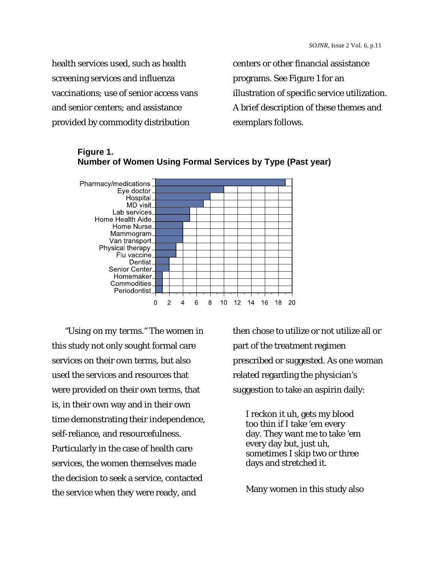health services used, such as health screening services and influenza vaccinations; use of senior access vans and senior centers; and assistance provided by commodity distribution

centers or other financial assistance programs. See Figure 1 for an illustration of specific service utilization. A brief description of these themes and exemplars follows.



# **Figure 1. Number of Women Using Formal Services by Type (Past year)**

*"Using on my terms."* The women in this study not only sought formal care services on their own terms, but also used the services and resources that were provided on their own terms, that is, in their own way and in their own time demonstrating their independence, self-reliance, and resourcefulness. Particularly in the case of health care services, the women themselves made the decision to seek a service, contacted the service when they were ready, and

then chose to utilize or not utilize all or part of the treatment regimen prescribed or suggested. As one woman related regarding the physician's suggestion to take an aspirin daily:

I reckon it uh, gets my blood too thin if I take 'em every day. They want me to take 'em every day but, just uh, sometimes I skip two or three days and stretched it.

Many women in this study also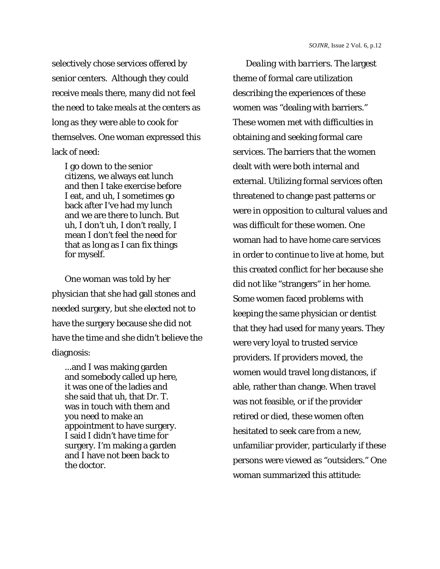selectively chose services offered by senior centers. Although they could receive meals there, many did not feel the need to take meals at the centers as long as they were able to cook for themselves. One woman expressed this lack of need:

I go down to the senior citizens, we always eat lunch and then I take exercise before I eat, and uh, I sometimes go back after I've had my lunch and we are there to lunch. But uh, I don't uh, I don't really, I mean I don't feel the need for that as long as I can fix things for myself.

One woman was told by her physician that she had gall stones and needed surgery, but she elected not to have the surgery because she did not have the time and she didn't believe the diagnosis:

...and I was making garden and somebody called up here, it was one of the ladies and she said that uh, that Dr. T. was in touch with them and you need to make an appointment to have surgery. I said I didn't have time for surgery. I'm making a garden and I have not been back to the doctor.

*Dealing with barriers.* The largest theme of formal care utilization describing the experiences of these women was "dealing with barriers." These women met with difficulties in obtaining and seeking formal care services. The barriers that the women dealt with were both internal and external. Utilizing formal services often threatened to change past patterns or were in opposition to cultural values and was difficult for these women. One woman had to have home care services in order to continue to live at home, but this created conflict for her because she did not like "strangers" in her home. Some women faced problems with keeping the same physician or dentist that they had used for many years. They were very loyal to trusted service providers. If providers moved, the women would travel long distances, if able, rather than change. When travel was not feasible, or if the provider retired or died, these women often hesitated to seek care from a new, unfamiliar provider, particularly if these persons were viewed as "outsiders." One woman summarized this attitude: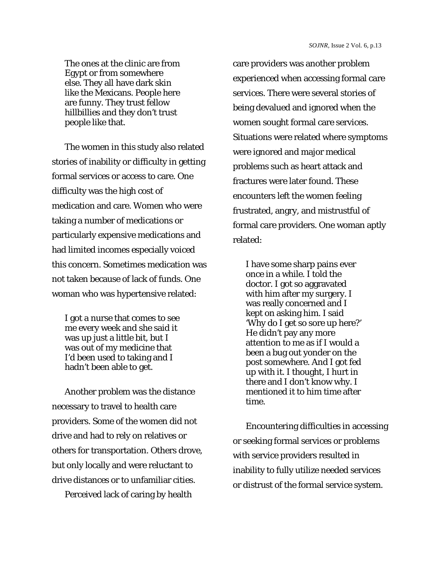The ones at the clinic are from Egypt or from somewhere else. They all have dark skin like the Mexicans. People here are funny. They trust fellow hillbillies and they don't trust people like that.

The women in this study also related stories of inability or difficulty in getting formal services or access to care. One difficulty was the high cost of medication and care. Women who were taking a number of medications or particularly expensive medications and had limited incomes especially voiced this concern. Sometimes medication was not taken because of lack of funds. One woman who was hypertensive related:

I got a nurse that comes to see me every week and she said it was up just a little bit, but I was out of my medicine that I'd been used to taking and I hadn't been able to get.

Another problem was the distance necessary to travel to health care providers. Some of the women did not drive and had to rely on relatives or others for transportation. Others drove, but only locally and were reluctant to drive distances or to unfamiliar cities.

Perceived lack of caring by health

care providers was another problem experienced when accessing formal care services. There were several stories of being devalued and ignored when the women sought formal care services. Situations were related where symptoms were ignored and major medical problems such as heart attack and fractures were later found. These encounters left the women feeling frustrated, angry, and mistrustful of formal care providers. One woman aptly related:

I have some sharp pains ever once in a while. I told the doctor. I got so aggravated with him after my surgery. I was really concerned and I kept on asking him. I said 'Why do I get so sore up here?' He didn't pay any more attention to me as if I would a been a bug out yonder on the post somewhere. And I got fed up with it. I thought, I hurt in there and I don't know why. I mentioned it to him time after time.

Encountering difficulties in accessing or seeking formal services or problems with service providers resulted in inability to fully utilize needed services or distrust of the formal service system.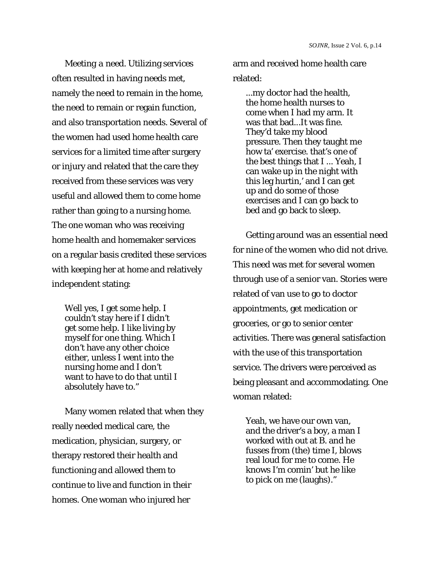*Meeting a need*. Utilizing services often resulted in having needs met, namely the need to remain in the home, the need to remain or regain function, and also transportation needs. Several of the women had used home health care services for a limited time after surgery or injury and related that the care they received from these services was very useful and allowed them to come home rather than going to a nursing home. The one woman who was receiving home health and homemaker services on a regular basis credited these services with keeping her at home and relatively independent stating:

Well yes, I get some help. I couldn't stay here if I didn't get some help. I like living by myself for one thing. Which I don't have any other choice either, unless I went into the nursing home and I don't want to have to do that until I absolutely have to."

Many women related that when they really needed medical care, the medication, physician, surgery, or therapy restored their health and functioning and allowed them to continue to live and function in their homes. One woman who injured her

arm and received home health care related:

...my doctor had the health, the home health nurses to come when I had my arm. It was that bad...It was fine. They'd take my blood pressure. Then they taught me how ta' exercise. that's one of the best things that I ... Yeah, I can wake up in the night with this leg hurtin,' and I can get up and do some of those exercises and I can go back to bed and go back to sleep.

Getting around was an essential need for nine of the women who did not drive. This need was met for several women through use of a senior van. Stories were related of van use to go to doctor appointments, get medication or groceries, or go to senior center activities. There was general satisfaction with the use of this transportation service. The drivers were perceived as being pleasant and accommodating. One woman related:

Yeah, we have our own van, and the driver's a boy, a man I worked with out at B. and he fusses from (the) time I, blows real loud for me to come. He knows I'm comin' but he like to pick on me (laughs)."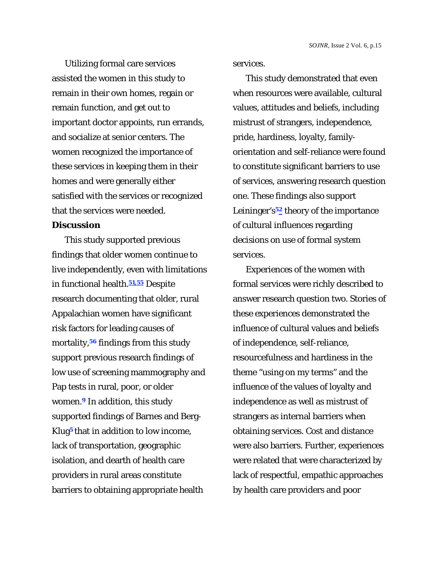Utilizing formal care services assisted the women in this study to remain in their own homes, regain or remain function, and get out to important doctor appoints, run errands, and socialize at senior centers. The women recognized the importance of these services in keeping them in their homes and were generally either satisfied with the services or recognized that the services were needed.

## **Discussion**

This study supported previous findings that older women continue to live independently, even with limitations in functional health.**51,55** Despite research documenting that older, rural Appalachian women have significant risk factors for leading causes of mortality,**56** findings from this study support previous research findings of low use of screening mammography and Pap tests in rural, poor, or older women.**9** In addition, this study supported findings of Barnes and Berg-Klug**5** that in addition to low income, lack of transportation, geographic isolation, and dearth of health care providers in rural areas constitute barriers to obtaining appropriate health

services.

This study demonstrated that even when resources were available, cultural values, attitudes and beliefs, including mistrust of strangers, independence, pride, hardiness, loyalty, familyorientation and self-reliance were found to constitute significant barriers to use of services, answering research question one. These findings also support Leininger's**52** theory of the importance of cultural influences regarding decisions on use of formal system services.

Experiences of the women with formal services were richly described to answer research question two. Stories of these experiences demonstrated the influence of cultural values and beliefs of independence, self-reliance, resourcefulness and hardiness in the theme "using on my terms" and the influence of the values of loyalty and independence as well as mistrust of strangers as internal barriers when obtaining services. Cost and distance were also barriers. Further, experiences were related that were characterized by lack of respectful, empathic approaches by health care providers and poor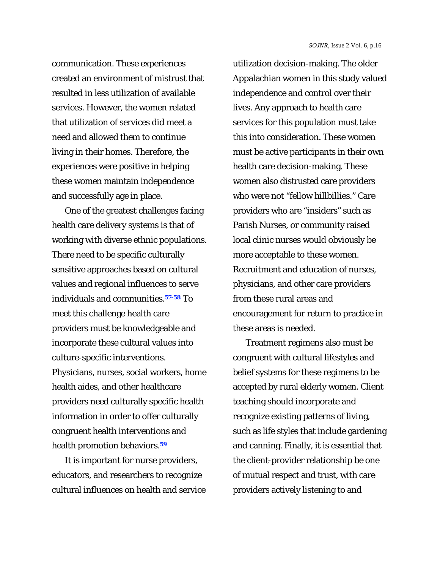communication. These experiences created an environment of mistrust that resulted in less utilization of available services. However, the women related that utilization of services did meet a need and allowed them to continue living in their homes. Therefore, the experiences were positive in helping these women maintain independence and successfully age in place.

One of the greatest challenges facing health care delivery systems is that of working with diverse ethnic populations. There need to be specific culturally sensitive approaches based on cultural values and regional influences to serve individuals and communities.**57-58** To meet this challenge health care providers must be knowledgeable and incorporate these cultural values into culture-specific interventions. Physicians, nurses, social workers, home health aides, and other healthcare providers need culturally specific health information in order to offer culturally congruent health interventions and health promotion behaviors.**<sup>59</sup>**

It is important for nurse providers, educators, and researchers to recognize cultural influences on health and service utilization decision-making. The older Appalachian women in this study valued independence and control over their lives. Any approach to health care services for this population must take this into consideration. These women must be active participants in their own health care decision-making. These women also distrusted care providers who were not "fellow hillbillies." Care providers who are "insiders" such as Parish Nurses, or community raised local clinic nurses would obviously be more acceptable to these women. Recruitment and education of nurses, physicians, and other care providers from these rural areas and encouragement for return to practice in these areas is needed.

Treatment regimens also must be congruent with cultural lifestyles and belief systems for these regimens to be accepted by rural elderly women. Client teaching should incorporate and recognize existing patterns of living, such as life styles that include gardening and canning. Finally, it is essential that the client-provider relationship be one of mutual respect and trust, with care providers actively listening to and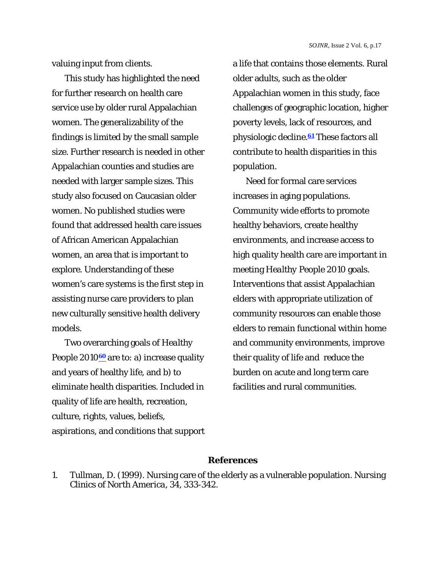valuing input from clients.

This study has highlighted the need for further research on health care service use by older rural Appalachian women. The generalizability of the findings is limited by the small sample size. Further research is needed in other Appalachian counties and studies are needed with larger sample sizes. This study also focused on Caucasian older women. No published studies were found that addressed health care issues of African American Appalachian women, an area that is important to explore. Understanding of these women's care systems is the first step in assisting nurse care providers to plan new culturally sensitive health delivery models.

Two overarching goals of *Healthy People 2010*<sup>60</sup> are to: a) increase quality and years of healthy life, and b) to eliminate health disparities. Included in quality of life are health, recreation, culture, rights, values, beliefs, aspirations, and conditions that support a life that contains those elements. Rural older adults, such as the older Appalachian women in this study, face challenges of geographic location, higher poverty levels, lack of resources, and physiologic decline.**61** These factors all contribute to health disparities in this population.

Need for formal care services increases in aging populations. Community wide efforts to promote healthy behaviors, create healthy environments, and increase access to high quality health care are important in meeting *Healthy People 2010* goals. Interventions that assist Appalachian elders with appropriate utilization of community resources can enable those elders to remain functional within home and community environments, improve their quality of life and reduce the burden on acute and long term care facilities and rural communities.

## **References**

1. Tullman, D. (1999). Nursing care of the elderly as a vulnerable population. *Nursing Clinics of North America, 34*, 333-342.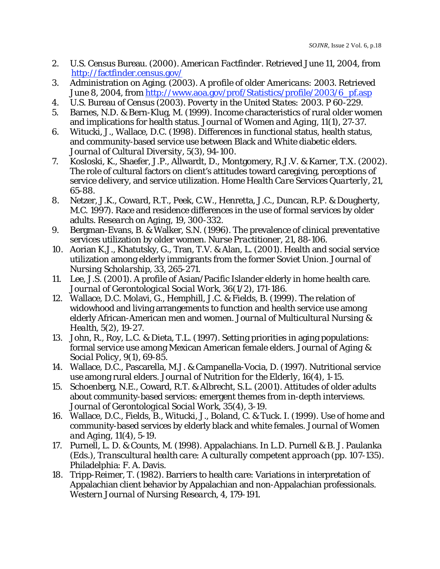- 2. U.S. Census Bureau. (2000*). American Factfinder*. Retrieved June 11, 2004, from http://factfinder.census.gov/
- 3. Administration on Aging. (2003). *A profile of older Americans: 2003*. Retrieved June 8, 2004, from http://www.aoa.gov/prof/Statistics/profile/2003/6\_pf.asp
- 4. U.S. Bureau of Census (2003*). Poverty in the United States: 2003*. P 60-229.
- 5. Barnes, N.D. & Bern-Klug, M. (1999). Income characteristics of rural older women and implications for health status. *Journal of Women and Aging, 11*(1), 27-37.
- 6. Witucki, J., Wallace, D.C. (1998). Differences in functional status, health status, and community-based service use between Black and White diabetic elders. *Journal of Cultural Diversity, 5*(3), 94-100.
- 7. Kosloski, K., Shaefer, J.P., Allwardt, D., Montgomery, R.J.V. & Karner, T.X. (2002). The role of cultural factors on client's attitudes toward caregiving, perceptions of service delivery, and service utilization. *Home Health Care Services Quarterly, 21*, 65-88.
- 8. Netzer, J.K., Coward, R.T., Peek, C.W., Henretta, J.C., Duncan, R.P. & Dougherty, M.C. 1997). Race and residence differences in the use of formal services by older adults. *Research on Aging, 19*, 300-332.
- 9. Bergman-Evans, B. & Walker, S.N. (1996). The prevalence of clinical preventative services utilization by older women. *Nurse Practitioner, 21*, 88-106.
- 10. Aorian K.J., Khatutsky, G., Tran, T.V. & Alan, L. (2001). Health and social service utilization among elderly immigrants from the former Soviet Union. *Journal of Nursing Scholarship, 33*, 265-271.
- 11. Lee, J.S. (2001). A profile of Asian/Pacific Islander elderly in home health care. *Journal of Gerontological Social Work, 36*(1/2), 171-186.
- 12. Wallace, D.C. Molavi, G., Hemphill, J.C. & Fields, B. (1999). The relation of widowhood and living arrangements to function and health service use among elderly African-American men and women. *Journal of Multicultural Nursing & Health, 5*(2), 19-27.
- 13. John, R., Roy, L.C. & Dieta, T.L. (1997). Setting priorities in aging populations: formal service use among Mexican American female elders. *Journal of Aging & Social Policy, 9*(1), 69-85.
- 14. Wallace, D.C., Pascarella, M.J. & Campanella-Vocia, D. (1997). Nutritional service use among rural elders. *Journal of Nutrition for the Elderly, 16*(4), 1-15.
- 15. Schoenberg, N.E., Coward, R.T. & Albrecht, S.L. (2001). Attitudes of older adults about community-based services: emergent themes from in-depth interviews. *Journal of Gerontological Social Work, 35*(4), 3-19.
- 16. Wallace, D.C., Fields, B., Witucki, J., Boland, C. & Tuck. I. (1999). Use of home and community-based services by elderly black and white females. *Journal of Women and Aging, 11*(4), 5-19.
- 17. Purnell, L. D. & Counts, M. (1998). Appalachians. In L.D. Purnell & B. J. Paulanka (Eds.), *Transcultural health care: A culturally competent approach* (pp. 107-135). Philadelphia: F. A. Davis.
- 18. Tripp-Reimer, T. (1982). Barriers to health care: Variations in interpretation of Appalachian client behavior by Appalachian and non-Appalachian professionals. *Western Journal of Nursing Research, 4,* 179-191.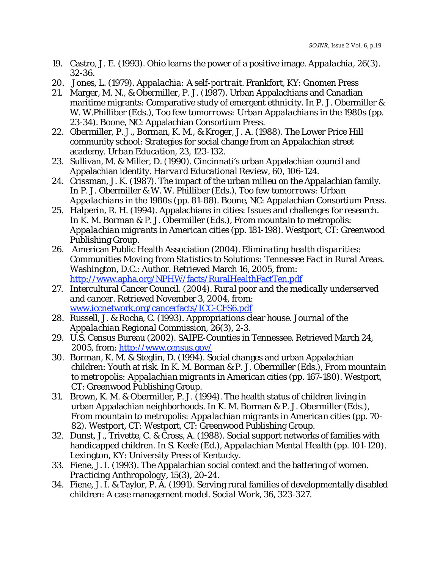- 19. Castro, J. E. (1993). Ohio learns the power of a positive image. *Appalachia, 26*(3). 32-36.
- 20. Jones, L. (1979). *Appalachia: A self-portrait.* Frankfort, KY: Gnomen Press
- 21. Marger, M. N., & Obermiller, P. J. (1987). Urban Appalachians and Canadian maritime migrants: Comparative study of emergent ethnicity. In P. J. Obermiller & W. W.Philliber (Eds.), *Too few tomorrows: Urban Appalachians in the 1980s* (pp. 23-34). Boone, NC: Appalachian Consortium Press.
- 22. Obermiller, P. J., Borman, K. M., & Kroger, J. A. (1988). The Lower Price Hill community school: Strategies for social change from an Appalachian street academy. *Urban Education, 23,* 123-132.
- 23. Sullivan, M. & Miller, D. (1990). Cincinnati's urban Appalachian council and Appalachian identity. *Harvard Educational Review, 60*, 106-124.
- 24. Crissman, J. K. (1987). The impact of the urban milieu on the Appalachian family. In P. J. Obermiller & W. W. Philliber (Eds.), *Too few tomorrows: Urban Appalachians in the 1980s* (pp. 81-88). Boone, NC: Appalachian Consortium Press.
- 25. Halperin, R. H. (1994). Appalachians in cities: Issues and challenges for research. In K. M. Borman & P. J. Obermiller (Eds.), *From mountain to metropolis: Appalachian migrants in American cities* (pp. 181-198). Westport, CT: Greenwood Publishing Group.
- 26. American Public Health Association (2004). *Eliminating health disparities: Communities Moving from Statistics to Solutions: Tennessee Fact in Rural Areas*. Washington, D.C.: Author. Retrieved March 16, 2005, from: http://www.apha.org/NPHW/facts/RuralHealthFactTen.pdf
- 27. Intercultural Cancer Council. (2004). *Rural poor and the medically underserved and cancer*. Retrieved November 3, 2004, from: www.iccnetwork.org/cancerfacts/ICC-CFS6.pdf
- 28. Russell, J. & Rocha, C. (1993). Appropriations clear house. *Journal of the Appalachian Regional Commission, 26*(3), 2-3.
- 29. U.S. Census Bureau (2002). SAIPE-Counties in Tennessee. Retrieved March 24, 2005, from[: http://www.census.gov/](http://www.census.gov)
- 30. Borman, K. M. & Steglin, D. (1994). Social changes and urban Appalachian children: Youth at risk. In K. M. Borman & P. J. Obermiller (Eds.), *From mountain to metropolis: Appalachian migrants in American cities* (pp. 167-180). Westport, CT: Greenwood Publishing Group.
- 31. Brown, K. M. & Obermiller, P. J. (1994). The health status of children living in urban Appalachian neighborhoods. In K. M. Borman & P. J. Obermiller (Eds.), *From mountain to metropolis: Appalachian migrants in American cities* (pp. 70- 82). Westport, CT: Westport, CT: Greenwood Publishing Group.
- 32. Dunst, J., Trivette, C. & Cross, A. (1988). Social support networks of families with handicapped children. In S. Keefe (Ed.), *Appalachian Mental Health* (pp. 101-120). Lexington, KY: University Press of Kentucky.
- 33. Fiene, J. I. (1993). The Appalachian social context and the battering of women. *Practicing Anthropology, 15*(3), 20-24.
- 34. Fiene, J. I. & Taylor, P. A. (1991). Serving rural families of developmentally disabled children: A case management model. *Social Work, 36,* 323-327.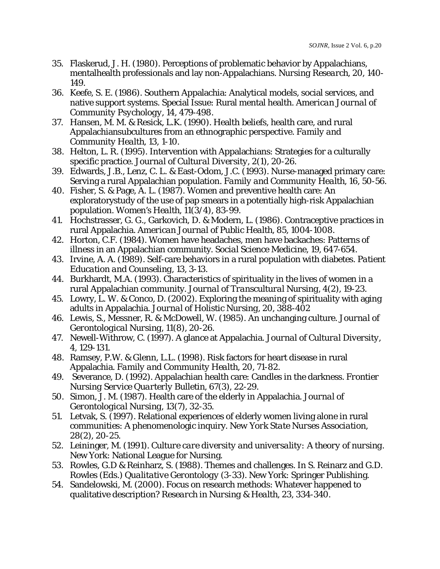- 35. Flaskerud, J. H. (1980). Perceptions of problematic behavior by Appalachians, mentalhealth professionals and lay non-Appalachians. *Nursing Research, 20*, 140- 149.
- 36. Keefe, S. E. (1986). Southern Appalachia: Analytical models, social services, and native support systems. Special Issue: Rural mental health. *American Journal of Community Psychology, 14*, 479-498.
- 37. Hansen, M. M. & Resick, L.K. (1990). Health beliefs, health care, and rural Appalachiansubcultures from an ethnographic perspective. *Family and Community Health, 13,* 1-10.
- 38. Helton, L. R. (1995). Intervention with Appalachians: Strategies for a culturally specific practice. *Journal of Cultural Diversity, 2*(1), 20-26.
- 39. Edwards, J.B., Lenz, C. L. & East-Odom, J.C. (1993). Nurse-managed primary care: Serving a rural Appalachian population. *Family and Community Health, 16*, 50-56.
- 40. Fisher, S. & Page, A. L. (1987). Women and preventive health care: An exploratorystudy of the use of pap smears in a potentially high-risk Appalachian population. *Women's Health, 11*(3/4), 83-99.
- 41. Hochstrasser, G. G., Garkovich, D. & Modern, L. (1986). Contraceptive practices in rural Appalachia. *American Journal of Public Health, 85*, 1004-1008.
- 42. Horton, C.F. (1984). Women have headaches, men have backaches: Patterns of illness in an Appalachian community. *Social Science Medicine, 19*, 647-654.
- 43. Irvine, A. A. (1989). Self-care behaviors in a rural population with diabetes. *Patient Education and Counseling, 13,* 3-13.
- 44. Burkhardt, M.A. (1993). Characteristics of spirituality in the lives of women in a rural Appalachian community. *Journal of Transcultural Nursing, 4*(2), 19-23.
- 45. Lowry, L. W. & Conco, D. (2002). Exploring the meaning of spirituality with aging adults in Appalachia. *Journal of Holistic Nursing, 20*, 388-402
- 46. Lewis, S., Messner, R. & McDowell, W. (1985). An unchanging culture. *Journal of Gerontological Nursing, 11*(8), 20-26.
- 47. Newell-Withrow, C. (1997). A glance at Appalachia. *Journal of Cultural Diversity, 4*, 129-131.
- 48. Ramsey, P.W. & Glenn, L.L. (1998). Risk factors for heart disease in rural Appalachia. *Family and Community Health, 20*, 71-82.
- 49. Severance, D. (1992). Appalachian health care: Candles in the darkness. *Frontier Nursing Service Quarterly Bulletin, 67*(3), 22-29.
- 50. Simon, J. M. (1987). Health care of the elderly in Appalachia. *Journal of Gerontological Nursing, 13*(7), 32-35.
- 51. Letvak, S. (1997). Relational experiences of elderly women living alone in rural communities: A phenomenologic inquiry. *New York State Nurses Association, 28*(2), 20-25.
- 52. Leininger, M. (1991). *Culture care diversity and universality: A theory of nursing.* New York: National League for Nursing.
- 53. Rowles, G.D & Reinharz, S. (1988). Themes and challenges. In S. Reinarz and G.D. Rowles (Eds.) *Qualitative Gerontology* (3-33). New York: Springer Publishing.
- 54. Sandelowski, M. (2000). Focus on research methods: Whatever happened to qualitative description? *Research in Nursing & Health, 23*, 334-340.